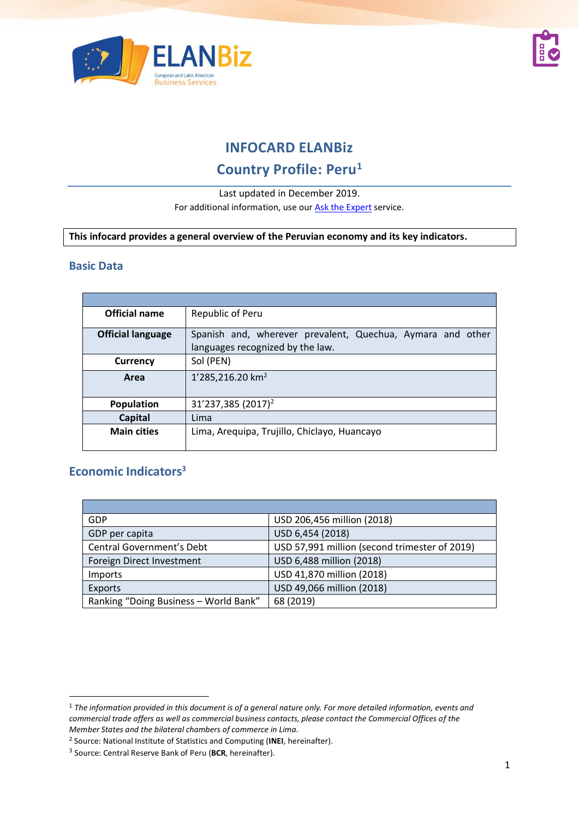



## **INFOCARD ELANBiz**

# **Country Profile: Peru<sup>1</sup>**

#### Last updated in December 2019.

For additional information, use our [Ask the Expert](https://www.elanbiz.org/ask-our-experts) service.

**This infocard provides a general overview of the Peruvian economy and its key indicators.**

#### **Basic Data**

| Official name            | Republic of Peru                                           |  |
|--------------------------|------------------------------------------------------------|--|
| <b>Official language</b> | Spanish and, wherever prevalent, Quechua, Aymara and other |  |
|                          | languages recognized by the law.                           |  |
| <b>Currency</b>          | Sol (PEN)                                                  |  |
| Area                     | 1'285,216.20 km <sup>2</sup>                               |  |
|                          |                                                            |  |
| <b>Population</b>        | 31'237,385 (2017) <sup>2</sup>                             |  |
| Capital                  | Lima                                                       |  |
| <b>Main cities</b>       | Lima, Arequipa, Trujillo, Chiclayo, Huancayo               |  |
|                          |                                                            |  |

### **Economic Indicators<sup>3</sup>**

| GDP                                   | USD 206,456 million (2018)                    |
|---------------------------------------|-----------------------------------------------|
| GDP per capita                        | USD 6,454 (2018)                              |
| <b>Central Government's Debt</b>      | USD 57,991 million (second trimester of 2019) |
| Foreign Direct Investment             | USD 6,488 million (2018)                      |
| <i>Imports</i>                        | USD 41,870 million (2018)                     |
| <b>Exports</b>                        | USD 49,066 million (2018)                     |
| Ranking "Doing Business - World Bank" | 68 (2019)                                     |

<sup>1</sup> *The information provided in this document is of a general nature only. For more detailed information, events and commercial trade offers as well as commercial business contacts, please contact the Commercial Offices of the Member States and the bilateral chambers of commerce in Lima.* 

<sup>2</sup> Source: National Institute of Statistics and Computing (**INEI**, hereinafter).

<sup>3</sup> Source: Central Reserve Bank of Peru (**BCR**, hereinafter).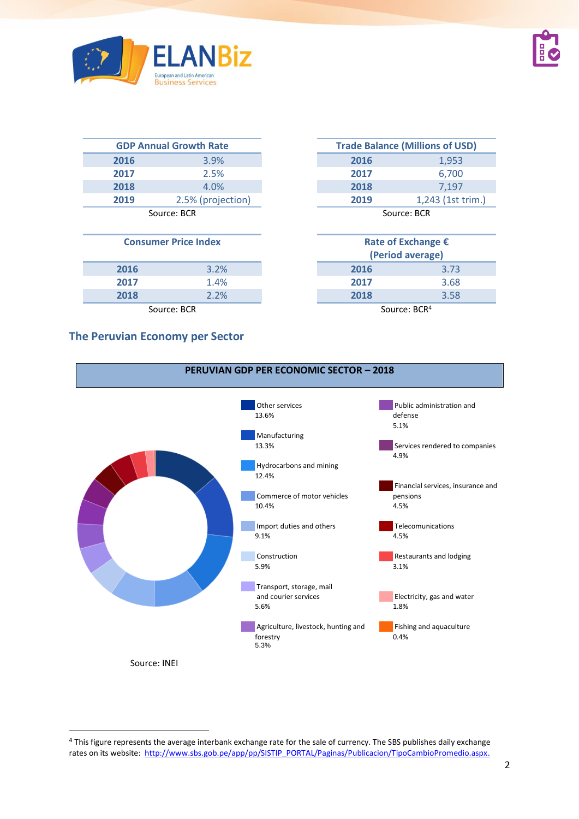

|      | <b>GDP Annual Growth Rate</b> |
|------|-------------------------------|
| 2016 | 3.9%                          |
| 2017 | 2.5%                          |
| 2018 | 4.0%                          |
| 2019 | 2.5% (projection)             |
|      | Source: BCR                   |

#### **Consumer Price Index**

|      |                  | (Period average)   |      |
|------|------------------|--------------------|------|
| 2016 | 3.2%             | 2016               | 3.73 |
| 2017 | 1.4%             | 2017               | 3.68 |
| 2018 | $2.2\%$          | 2018               | 3.58 |
|      | $Contract$ $DCD$ | $COM$ $COM$ $DCD4$ |      |

#### **The Peruvian Economy per Sector**

|      | <b>GDP Annual Growth Rate</b> |      | <b>Trade Balance (Millions of USD)</b> |
|------|-------------------------------|------|----------------------------------------|
| 2016 | $3.9\%$                       | 2016 | 1,953                                  |
| 2017 | 2.5%                          | 2017 | 6,700                                  |
| 2018 | 4.0%                          | 2018 | 7.197                                  |
| 2019 | 2.5% (projection)             | 2019 | 1,243 (1st trim.)                      |
|      | $\sim$ $\sim$ $\sim$          |      | $\sim$ $\sim$ $\sim$                   |

Source: BCR

| umer Price Index | Rate of Exchange €<br>(Period average) |      |
|------------------|----------------------------------------|------|
| 3.2%             | 2016                                   | 3.73 |
| 1.4%             | 2017                                   | 3.68 |
| 2.2%             | 2018                                   | 3.58 |
| Source: BCR      | Source: BCR <sup>4</sup>               |      |



<sup>&</sup>lt;sup>4</sup> This figure represents the average interbank exchange rate for the sale of currency. The SBS publishes daily exchange rates on its website: [http://www.sbs.gob.pe/app/pp/SISTIP\\_PORTAL/Paginas/Publicacion/TipoCambioPromedio.aspx.](http://www.sbs.gob.pe/app/pp/SISTIP_PORTAL/Paginas/Publicacion/TipoCambioPromedio.aspx)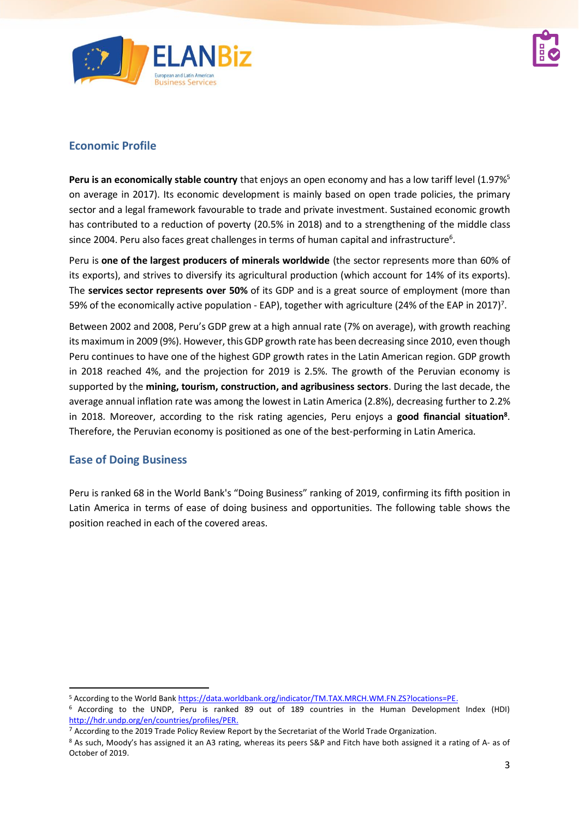

## **Economic Profile**

Peru is an economically stable country that enjoys an open economy and has a low tariff level (1.97%<sup>5</sup> on average in 2017). Its economic development is mainly based on open trade policies, the primary sector and a legal framework favourable to trade and private investment. Sustained economic growth has contributed to a reduction of poverty (20.5% in 2018) and to a strengthening of the middle class since 2004. Peru also faces great challenges in terms of human capital and infrastructure<sup>6</sup>.

Peru is **one of the largest producers of minerals worldwide** (the sector represents more than 60% of its exports), and strives to diversify its agricultural production (which account for 14% of its exports). The **services sector represents over 50%** of its GDP and is a great source of employment (more than 59% of the economically active population - EAP), together with agriculture (24% of the EAP in 2017)<sup>7</sup>.

Between 2002 and 2008, Peru's GDP grew at a high annual rate (7% on average), with growth reaching its maximum in 2009 (9%). However, thisGDP growth rate has been decreasing since 2010, even though Peru continues to have one of the highest GDP growth rates in the Latin American region. GDP growth in 2018 reached 4%, and the projection for 2019 is 2.5%. The growth of the Peruvian economy is supported by the **mining, tourism, construction, and agribusiness sectors**. During the last decade, the average annual inflation rate was among the lowest in Latin America (2.8%), decreasing further to 2.2% in 2018. Moreover, according to the risk rating agencies, Peru enjoys a **good financial situation<sup>8</sup>** . Therefore, the Peruvian economy is positioned as one of the best-performing in Latin America.

### **Ease of Doing Business**

Peru is ranked 68 in the World Bank's "Doing Business" ranking of 2019, confirming its fifth position in Latin America in terms of ease of doing business and opportunities. The following table shows the position reached in each of the covered areas.

<sup>5</sup> According to the World Ban[k https://data.worldbank.org/indicator/TM.TAX.MRCH.WM.FN.ZS?locations=PE.](https://data.worldbank.org/indicator/TM.TAX.MRCH.WM.FN.ZS?locations=PE)

<sup>6</sup> According to the UNDP, Peru is ranked 89 out of 189 countries in the Human Development Index (HDI) [http://hdr.undp.org/en/countries/profiles/PER.](http://hdr.undp.org/en/countries/profiles/PER)

 $7$  According to the 2019 Trade Policy Review Report by the Secretariat of the World Trade Organization.

<sup>8</sup> As such, Moody's has assigned it an A3 rating, whereas its peers S&P and Fitch have both assigned it a rating of A- as of October of 2019.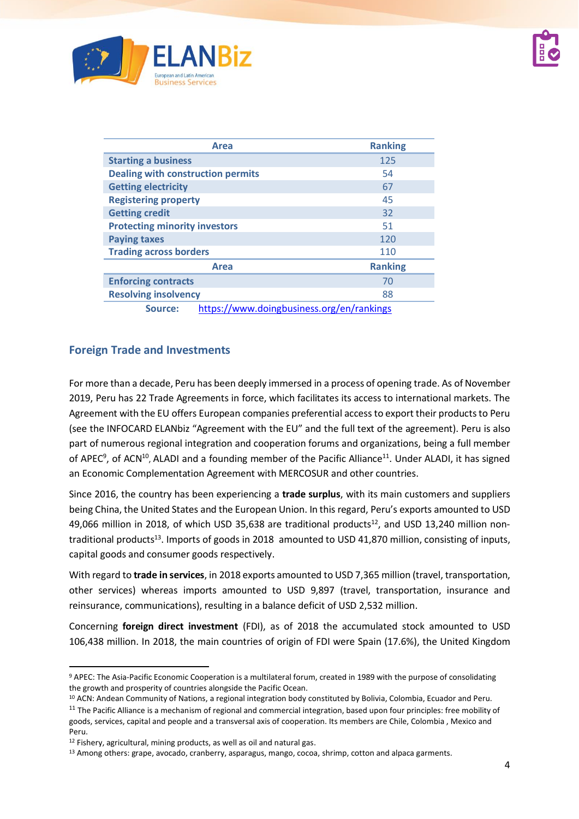

| <b>Area</b>                                          | <b>Ranking</b> |
|------------------------------------------------------|----------------|
| <b>Starting a business</b>                           | 125            |
| <b>Dealing with construction permits</b>             | 54             |
| <b>Getting electricity</b>                           | 67             |
| <b>Registering property</b>                          | 45             |
| <b>Getting credit</b>                                | 32             |
| <b>Protecting minority investors</b>                 | 51             |
| <b>Paying taxes</b>                                  | 120            |
| <b>Trading across borders</b>                        | 110            |
| Area                                                 | <b>Ranking</b> |
| <b>Enforcing contracts</b>                           | 70             |
| <b>Resolving insolvency</b>                          | 88             |
| https://www.doingbusiness.org/en/rankings<br>Source: |                |

### **Foreign Trade and Investments**

For more than a decade, Peru has been deeply immersed in a process of opening trade. As of November 2019, Peru has 22 Trade Agreements in force, which facilitates its access to international markets. The Agreement with the EU offers European companies preferential access to export their products to Peru (see the INFOCARD ELANbiz "Agreement with the EU" and the full text of the agreement). Peru is also part of numerous regional integration and cooperation forums and organizations, being a full member of APEC<sup>9</sup>, of ACN<sup>10</sup>, ALADI and a founding member of the Pacific Alliance<sup>11</sup>. Under ALADI, it has signed an Economic Complementation Agreement with MERCOSUR and other countries.

Since 2016, the country has been experiencing a **trade surplus**, with its main customers and suppliers being China, the United States and the European Union. In this regard, Peru's exports amounted to USD 49,066 million in 2018, of which USD 35,638 are traditional products<sup>12</sup>, and USD 13,240 million nontraditional products<sup>13</sup>. Imports of goods in 2018 amounted to USD 41,870 million, consisting of inputs, capital goods and consumer goods respectively.

With regard to **trade in services**, in 2018 exports amounted to USD 7,365 million (travel, transportation, other services) whereas imports amounted to USD 9,897 (travel, transportation, insurance and reinsurance, communications), resulting in a balance deficit of USD 2,532 million.

Concerning **foreign direct investment** (FDI), as of 2018 the accumulated stock amounted to USD 106,438 million. In 2018, the main countries of origin of FDI were Spain (17.6%), the United Kingdom

<sup>9</sup> APEC: The Asia-Pacific Economic Cooperation is a multilateral forum, created in 1989 with the purpose of consolidating the growth and prosperity of countries alongside the Pacific Ocean.

<sup>&</sup>lt;sup>10</sup> ACN: Andean Community of Nations, a regional integration body constituted by Bolivia, Colombia, Ecuador and Peru.

 $11$  The Pacific Alliance is a mechanism of regional and commercial integration, based upon four principles: free mobility of goods, services, capital and people and a transversal axis of cooperation. Its members are Chile, Colombia , Mexico and Peru.

<sup>12</sup> Fishery, agricultural, mining products, as well as oil and natural gas.

<sup>13</sup> Among others: grape, avocado, cranberry, asparagus, mango, cocoa, shrimp, cotton and alpaca garments.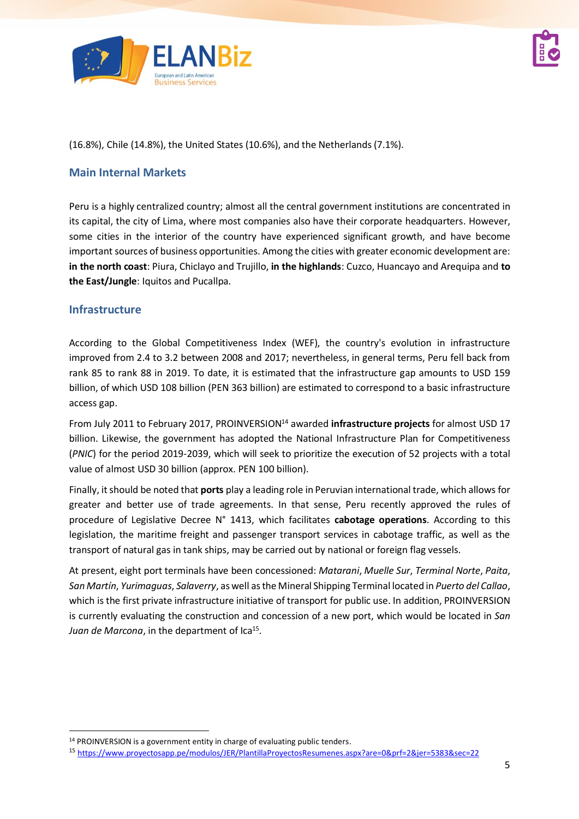

(16.8%), Chile (14.8%), the United States (10.6%), and the Netherlands (7.1%).

### **Main Internal Markets**

Peru is a highly centralized country; almost all the central government institutions are concentrated in its capital, the city of Lima, where most companies also have their corporate headquarters. However, some cities in the interior of the country have experienced significant growth, and have become important sources of business opportunities. Among the cities with greater economic development are: **in the north coast**: Piura, Chiclayo and Trujillo, **in the highlands**: Cuzco, Huancayo and Arequipa and **to the East/Jungle**: Iquitos and Pucallpa.

### **Infrastructure**

According to the Global Competitiveness Index (WEF), the country's evolution in infrastructure improved from 2.4 to 3.2 between 2008 and 2017; nevertheless, in general terms, Peru fell back from rank 85 to rank 88 in 2019. To date, it is estimated that the infrastructure gap amounts to USD 159 billion, of which USD 108 billion (PEN 363 billion) are estimated to correspond to a basic infrastructure access gap.

From July 2011 to February 2017, PROINVERSION<sup>14</sup> awarded **infrastructure projects** for almost USD 17 billion. Likewise, the government has adopted the National Infrastructure Plan for Competitiveness (*PNIC*) for the period 2019-2039, which will seek to prioritize the execution of 52 projects with a total value of almost USD 30 billion (approx. PEN 100 billion).

Finally, it should be noted that **ports** play a leading role in Peruvian international trade, which allows for greater and better use of trade agreements. In that sense, Peru recently approved the rules of procedure of Legislative Decree N° 1413, which facilitates **cabotage operations**. According to this legislation, the maritime freight and passenger transport services in cabotage traffic, as well as the transport of natural gas in tank ships, may be carried out by national or foreign flag vessels.

At present, eight port terminals have been concessioned: *Matarani*, *Muelle Sur*, *Terminal Norte*, *Paita*, *San Martín*, *Yurimaguas*, *Salaverry*, as well as the Mineral Shipping Terminal located in *Puerto del Callao*, which is the first private infrastructure initiative of transport for public use. In addition, PROINVERSION is currently evaluating the construction and concession of a new port, which would be located in *San*  Juan de Marcona, in the department of Ica<sup>15</sup>.

<sup>14</sup> PROINVERSION is a government entity in charge of evaluating public tenders.

<sup>15</sup> <https://www.proyectosapp.pe/modulos/JER/PlantillaProyectosResumenes.aspx?are=0&prf=2&jer=5383&sec=22>